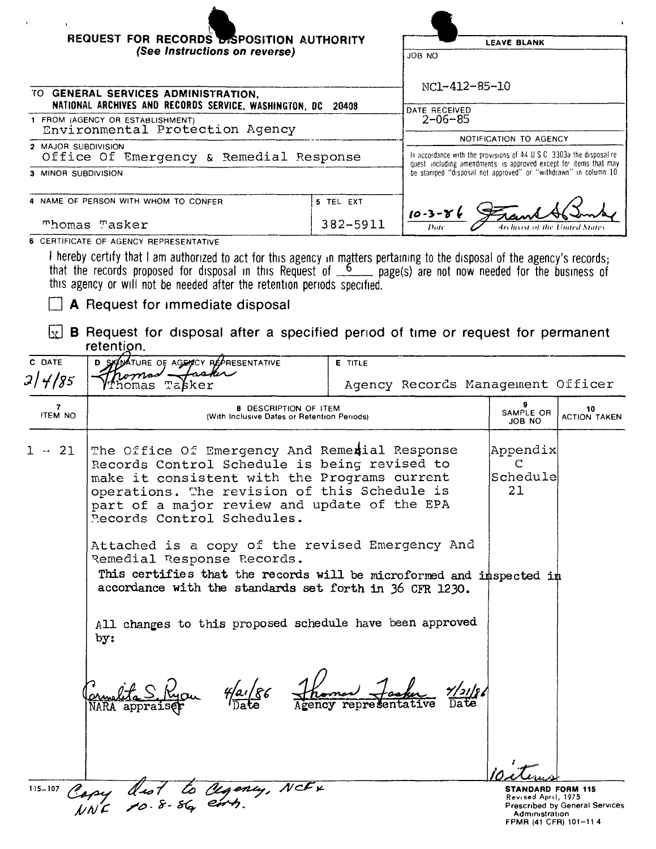| REQUEST FOR RECORDS BISPOSITION AUTHORITY<br>(See Instructions on reverse)                                                                                                                                                                                                  |                                                                                                                                                    | <b>LEAVE BLANK</b><br>JOB NO                                                                                    |  |
|-----------------------------------------------------------------------------------------------------------------------------------------------------------------------------------------------------------------------------------------------------------------------------|----------------------------------------------------------------------------------------------------------------------------------------------------|-----------------------------------------------------------------------------------------------------------------|--|
| TO GENERAL SERVICES ADMINISTRATION.<br>NATIONAL ARCHIVES AND RECORDS SERVICE, WASHINGTON, DC 20408                                                                                                                                                                          |                                                                                                                                                    | NC1-412-85-10<br>DATE RECEIVED                                                                                  |  |
| 1 FROM (AGENCY OR ESTABLISHMENT)<br>Environmental Protection Agency                                                                                                                                                                                                         | $2 - 06 - 85$<br>NOTIFICATION TO AGENCY                                                                                                            |                                                                                                                 |  |
| 2 MAJOR SUBDIVISION<br>Office Of Emergency & Remedial Response                                                                                                                                                                                                              | In accordance with the provisions of $44 \cup S \cup S$ 3303a the disposal re-<br>quest including amendments is approved except for items that may |                                                                                                                 |  |
| 3 MINOR SUBDIVISION                                                                                                                                                                                                                                                         |                                                                                                                                                    | be stamped "disposal not approved" or "withdrawn" in column 10                                                  |  |
| 4 NAME OF PERSON WITH WHOM TO CONFER                                                                                                                                                                                                                                        | 5 TEL EXT                                                                                                                                          | $10 - 3 - 86$                                                                                                   |  |
| Thomas Tasker                                                                                                                                                                                                                                                               | 382-5911                                                                                                                                           | Date<br>Archivist of the United States                                                                          |  |
| 6 CERTIFICATE OF AGENCY REPRESENTATIVE<br>$\mathbf{1}$ . The state is the state of the state of the state of the state of the state of the state of the state of the state of the state of the state of the state of the state of the state of the state of the state of th |                                                                                                                                                    | the contract of the contract of the contract of the contract of the contract of the contract of the contract of |  |

I hereby certify that I am authorized to act for this agency in matters pertaining to the disposal of the agency's records;<br>that the records proposed for disposal in this Request of  $\frac{6}{2}$  page(s) are not now needed fo

## $\Box$  A Request for immediate disposal

 $\boxed{\mathbf{x}}$  **B** Request for disposal after a specified period of time or request for permanent retention.

| C DATE              | <b>COMMATURE OF AGENCY REPRESENTATIVE</b><br>sakir<br>comas -                                                                                                                                                                                                                       | <b>E</b> TITLE                    |                                                                                            |                                       |
|---------------------|-------------------------------------------------------------------------------------------------------------------------------------------------------------------------------------------------------------------------------------------------------------------------------------|-----------------------------------|--------------------------------------------------------------------------------------------|---------------------------------------|
| 2   4   85          | homas Tabker                                                                                                                                                                                                                                                                        | Agency Records Management Officer |                                                                                            |                                       |
| 7<br><b>ITEM NO</b> | 8 DESCRIPTION OF ITEM<br>(With Inclusive Dates or Retention Periods)                                                                                                                                                                                                                |                                   | 9<br>SAMPLE OR<br>JOB NO                                                                   | 10<br><b>ACTION TAKEN</b>             |
| -21<br>$\mathbf{1}$ | The Office Of Emergency And Remerial Response<br>Records Control Schedule is being revised to<br>make it consistent with the Programs current<br>operations. The revision of this Schedule is<br>part of a major review and update of the EPA<br>Pecords Control Schedules.         |                                   | Appendix<br>C<br>Schedule<br>21                                                            |                                       |
|                     | Attached is a copy of the revised Emergency And<br>Remedial Response Records.<br>This certifies that the records will be microformed and imspected im<br>accordance with the standards set forth in 36 CFR 1230.<br>All changes to this proposed schedule have been approved<br>by: |                                   |                                                                                            |                                       |
|                     | 4/a/86                                                                                                                                                                                                                                                                              | Aroman Josh                       |                                                                                            |                                       |
| $115 - 107$         | Capy dist to Ugency, NCFx<br>NNC 10.8.86 emb.                                                                                                                                                                                                                                       |                                   | <b>STANDARD FORM 115</b><br>Revised April, 1975<br>Administration<br>FPMR (41 CFR) 101-114 | <b>Prescribed by General Services</b> |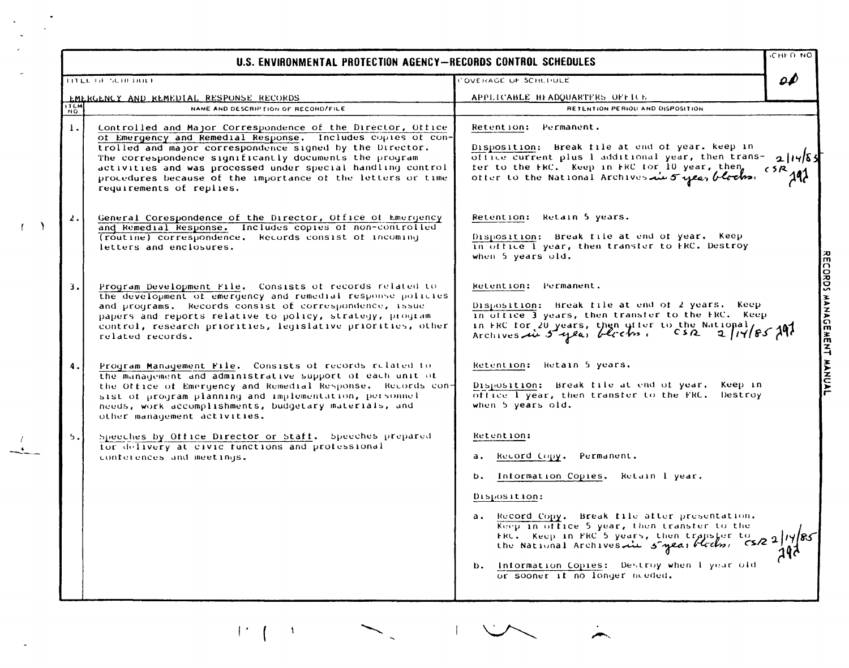|                          | U.S. ENVIRONMENTAL PROTECTION AGENCY-RECORDS CONTROL SCHEDULES                                                                                                                                                                                                                                                                                                                                                   |                                                                                                                                                                                                                                                  | сны пир |
|--------------------------|------------------------------------------------------------------------------------------------------------------------------------------------------------------------------------------------------------------------------------------------------------------------------------------------------------------------------------------------------------------------------------------------------------------|--------------------------------------------------------------------------------------------------------------------------------------------------------------------------------------------------------------------------------------------------|---------|
|                          | TITLE OF SCHEDULE                                                                                                                                                                                                                                                                                                                                                                                                | "OVERAGE OF SCHEDULE                                                                                                                                                                                                                             | 0P      |
|                          | EMERGENCY AND REMEDIAL RESPONSE RECORDS                                                                                                                                                                                                                                                                                                                                                                          | APPLICABLE HEADQUARTERS OFFICE                                                                                                                                                                                                                   |         |
| <b>ITEM</b><br><b>NO</b> | NAME AND DESCRIPTION OF RECORD/FILE                                                                                                                                                                                                                                                                                                                                                                              | RETENTION PERIOD AND DISPOSITION                                                                                                                                                                                                                 |         |
|                          | Controlled and Major Correspondence of the Director, Office<br>1.<br>of Emergency and Remedial Response. Includes copies of con-<br>trolled and major correspondence signed by the Director.<br>The correspondence significantly documents the program<br>activities and was processed under special handling control<br>procedures because of the importance of the letters or time<br>requirements of replies. | Retention: Permanent.<br>Disposition: Break file at end of year. keep in<br>office current plus I additional year, then trans-<br>fer to the FRC. Keep in FRC for 10 year, then<br>ofter to the National Archives in 5 year blocks.              | くろ尺     |
|                          | 2.<br>General Corespondence of the Director, Office of Emergency<br>and Remedial Response. Includes copies of non-controlled<br>(routine) correspondence. Records consist of incoming<br>letters and enclosures.                                                                                                                                                                                                 | Retention: Retain 5 years.<br>Disposition: Break file at end of year. Keep<br>in office I year, then transfer to FRC. Destroy<br>when 5 years old.                                                                                               |         |
|                          | 3.<br>Program Development File. Consists of records related to<br>the development of emergency and remedial response policies<br>and programs. Records consist of correspondence, issue<br>papers and reports relative to policy, strategy, program<br>control, research priorities, legislative priorities, other<br>related records.                                                                           | Retention: Permanent.<br>Disposition: Break file at end of 2 years. Keep<br>in office 3 years, then transfer to the FRC. Keep<br>in FRC for 20 years, then gifer to the National,<br>2 11 85297<br>Archives in 5 year blocks.<br>CS <sub>R</sub> |         |
|                          | 4.<br>Program Management File. Consists of records related to<br>the management and administrative support of each unit of<br>the Office of Emergency and Remedial Response. Records con-<br>sist of program planning and implementation, personnel<br>needs, work accomplishments, budgetary materials, and<br>other management activities.                                                                     | Retention: Retain 5 years.<br>Disposition: Break file at end of year.<br>Keep in<br>office I year, then transfer to the FRC.<br>Destroy<br>when 5 years old.                                                                                     |         |
|                          | 5.<br>Speeches by Office Director or Staff. Speeches prepared                                                                                                                                                                                                                                                                                                                                                    | Retention:                                                                                                                                                                                                                                       |         |
|                          | for delivery at civic functions and professional<br>conferences and meetings.                                                                                                                                                                                                                                                                                                                                    | Record Copy.<br>Permanent.<br>а.                                                                                                                                                                                                                 |         |
|                          |                                                                                                                                                                                                                                                                                                                                                                                                                  |                                                                                                                                                                                                                                                  |         |
|                          |                                                                                                                                                                                                                                                                                                                                                                                                                  | Information Copies. Retain 1 year.<br>b.                                                                                                                                                                                                         |         |
|                          |                                                                                                                                                                                                                                                                                                                                                                                                                  | Disposition:                                                                                                                                                                                                                                     |         |
|                          |                                                                                                                                                                                                                                                                                                                                                                                                                  | Record Copy. Break file after presentation.<br>а.<br>Keep in office 5 year, then transfer to the<br>ERC. Keep in FRC 5 years, then transfer to<br>the National Archives du 5 year blocks, CSR 2/14/85                                            |         |
|                          |                                                                                                                                                                                                                                                                                                                                                                                                                  | Information Copies: Destroy when I year old<br>b.<br>or sooner it no longer meded.                                                                                                                                                               |         |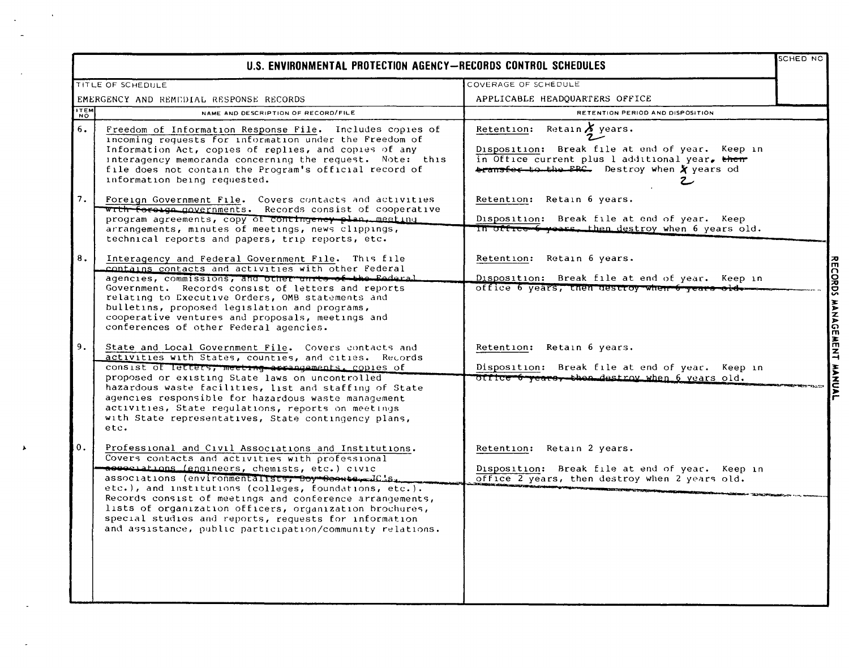|             | U.S. ENVIRONMENTAL PROTECTION AGENCY-RECORDS CONTROL SCHEDULES                                                                                                                                                                                                                                                                                                                                                                                                                                                           |                                                                                                                                                                                            | SCHED NC                  |
|-------------|--------------------------------------------------------------------------------------------------------------------------------------------------------------------------------------------------------------------------------------------------------------------------------------------------------------------------------------------------------------------------------------------------------------------------------------------------------------------------------------------------------------------------|--------------------------------------------------------------------------------------------------------------------------------------------------------------------------------------------|---------------------------|
|             | TITLE OF SCHEDULE                                                                                                                                                                                                                                                                                                                                                                                                                                                                                                        | COVERAGE OF SCHEDULE                                                                                                                                                                       |                           |
|             | EMERGENCY AND REMEDIAL RESPONSE RECORDS                                                                                                                                                                                                                                                                                                                                                                                                                                                                                  | APPLICABLE HEADQUARTERS OFFICE                                                                                                                                                             |                           |
| <b>ITEM</b> | NAME AND DESCRIPTION OF RECORD/FILE                                                                                                                                                                                                                                                                                                                                                                                                                                                                                      | RETENTION PERIOD AND DISPOSITION                                                                                                                                                           |                           |
| 6.          | Freedom of Information Response File. Includes copies of<br>incoming requests for information under the Freedom of<br>Information Act, copies of replies, and copies of any<br>interagency memoranda concerning the request. Note: this<br>file does not contain the Program's official record of<br>information being requested.                                                                                                                                                                                        | Retain $\lambda$ years.<br>Retention:<br>Disposition: Break file at end of year. Keep in<br>in Office current plus 1 additional year, them<br>transfer to the FRC. Destroy when X years od |                           |
| 7.          | Foreign Government File. Covers contacts and activities<br>wrth forouge governments. Records consist of cooperative<br>program agreements, copy of contingency plan, meeting<br>arrangements, minutes of meetings, news clippings,<br>technical reports and papers, trip reports, etc.                                                                                                                                                                                                                                   | Retention: Retain 6 years.<br>Disposition: Break file at end of year. Keep<br>In office 6 years, then destroy when 6 years old.                                                            |                           |
| 8.          | Interagency and Federal Government File. This file<br>contains contacts and activities with other Federal<br>agencies, commissions, and other unrts of the Eederal<br>Government. Records consist of letters and reports<br>relating to Executive Orders, OMB statements and<br>bulletins, proposed legislation and programs,<br>cooperative ventures and proposals, meetings and<br>conferences of other Federal agencies.                                                                                              | Retention: Retain 6 years.<br>Disposition: Break file at end of year. Keep in<br>office 6 years, then descroy when 6 years old                                                             | RECORDS MANAGEMENT MANUAL |
| 9.          | State and Local Government File. Covers contacts and<br>activities with States, counties, and cities. Records<br>consist of letters, meeting arrangements, copies of<br>proposed or existing State laws on uncontrolled<br>hazardous waste facilities, list and staffing of State<br>agencies responsible for hazardous waste management<br>activities, State regulations, reports on meetings<br>with State representatives, State contingency plans,<br>etc.                                                           | Retention: Retain 6 years.<br>Disposition: Break file at end of year. Keep in<br>office 6 years, then destroy when 6 years old.                                                            |                           |
| 0.          | Professional and Civil Associations and Institutions.<br>Covers contacts and activities with professional<br>assesiations (engineers, chemists, etc.) civic<br>associations (environmentalists, Boy Soonte, JC.5.<br>etc.), and institutions (colleges, foundations, etc.).<br>Records consist of meetings and conference arrangements,<br>lists of organization officers, organization brochures,<br>special studies and reports, requests for information<br>and assistance, public participation/community relations. | Retention: Retain 2 years.<br>Disposition: Break file at end of year. Keep in<br>office 2 years, then destroy when 2 years old.                                                            |                           |

 $\hat{\mathbf{v}}$ 

 $\hat{\mathbf{r}}$  $\overline{a}$ 

 $\ddot{\phantom{0}}$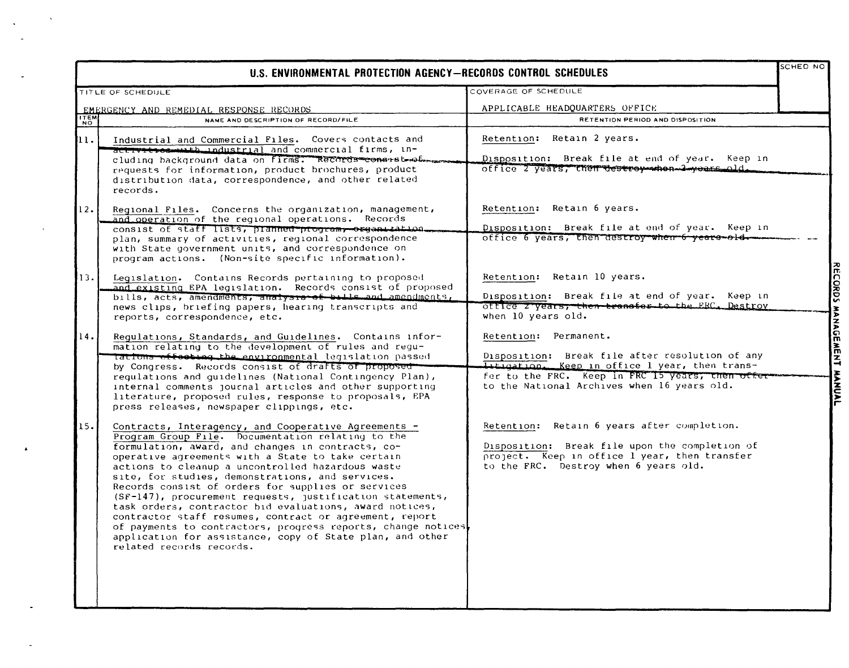|               | U.S. ENVIRONMENTAL PROTECTION AGENCY-RECORDS CONTROL SCHEDULES                                                                                                                                                                                                                                                                                                                                                                                                                                                                                                                                                       |                                                                                                                                                          | <b>SCHED NO</b> |
|---------------|----------------------------------------------------------------------------------------------------------------------------------------------------------------------------------------------------------------------------------------------------------------------------------------------------------------------------------------------------------------------------------------------------------------------------------------------------------------------------------------------------------------------------------------------------------------------------------------------------------------------|----------------------------------------------------------------------------------------------------------------------------------------------------------|-----------------|
|               | TITLE OF SCHEDULE                                                                                                                                                                                                                                                                                                                                                                                                                                                                                                                                                                                                    | COVERAGE OF SCHEDULE                                                                                                                                     |                 |
|               | EMERGENCY AND REMEDIAL RESPONSE RECORDS                                                                                                                                                                                                                                                                                                                                                                                                                                                                                                                                                                              | APPLICABLE HEADQUARTERS OFFICE                                                                                                                           |                 |
| $\frac{1}{N}$ | NAME AND DESCRIPTION OF RECORD/FILE                                                                                                                                                                                                                                                                                                                                                                                                                                                                                                                                                                                  | RETENTION PERIOD AND DISPOSITION                                                                                                                         |                 |
| 11.           | Industrial and Commercial Files. Covers contacts and<br>actryitrog-with industrial and commercial firms, in-                                                                                                                                                                                                                                                                                                                                                                                                                                                                                                         | Retention: Retain 2 years.                                                                                                                               |                 |
|               | cluding background data on firms. Records constst webman<br>requests for information, product brochures, product<br>distribution data, correspondence, and other related<br>records.                                                                                                                                                                                                                                                                                                                                                                                                                                 | Disposition: Break file at end of year. Keep in<br>office 2 years, then destroy when 2 years old.                                                        |                 |
| 12.           | Regional Files. Concerns the organization, management,<br>and operation of the regional operations. Records                                                                                                                                                                                                                                                                                                                                                                                                                                                                                                          | Retention: Retain 6 years.                                                                                                                               |                 |
|               | consist of staff lists, pranned program, organization.<br>plan, summary of activities, regional correspondence<br>with State government units, and correspondence on<br>program actions. (Non-site specific information).                                                                                                                                                                                                                                                                                                                                                                                            | Disposition: Break file at end of year. Keep in<br>office 6 years, then destroy when 6 years old.                                                        |                 |
| 13.           | Legislation. Contains Records pertaining to proposed<br>and existing EPA legislation. Records consist of proposed                                                                                                                                                                                                                                                                                                                                                                                                                                                                                                    | Retention: Retain 10 years.                                                                                                                              |                 |
|               | bills, acts, amendments, analysis of bills and amendments,<br>news clips, briefing papers, hearing transcripts and<br>reports, correspondence, etc.                                                                                                                                                                                                                                                                                                                                                                                                                                                                  | Disposition: Break file at end of year. Keep in<br>office z years, then transfer to the FRC. Destroy<br>when 10 years old.                               |                 |
| 14.           | Regulations, Standards, and Guidelines. Contains infor-<br>mation relating to the development of rules and requ-                                                                                                                                                                                                                                                                                                                                                                                                                                                                                                     | Retention: Permanent.<br>Disposition: Break file after resolution of any                                                                                 |                 |
|               | Tations effecting the environmental legislation passed<br>by Congress. Records consist of drafts of proposed<br>regulations and guidelines (National Contingency Plan),<br>internal comments journal articles and other supporting<br>literature, proposed rules, response to proposals, EPA<br>press releases, newspaper clippings, etc.                                                                                                                                                                                                                                                                            | <b>Istigation.</b> Keep in office 1 year, then trans-<br>fer to the FRC. Keep in FRC 15 years, then offer<br>to the National Archives when 16 years old. |                 |
| 15.           | Contracts, Interagency, and Cooperative Agreements -<br>Program Group File. Documentation relating to the                                                                                                                                                                                                                                                                                                                                                                                                                                                                                                            | Retention: Retain 6 years after completion.                                                                                                              |                 |
|               | formulation, award, and changes in contracts, co-<br>operative agreements with a State to take certain<br>actions to cleanup a uncontrolled hazardous waste<br>site, for studies, demonstrations, and services.<br>Records consist of orders for supplies or services<br>$(SF-147)$ , procurement requests, justification statements,<br>task orders, contractor bid evaluations, award notices,<br>contractor staff resumes, contract or agreement, report<br>of payments to contractors, progress reports, change notices<br>application for assistance, copy of State plan, and other<br>related records records. | Disposition: Break file upon the completion of<br>project. Keep in office 1 year, then transfer<br>to the FRC. Destroy when 6 years old.                 |                 |

 $\Delta \phi = 0.5$  $\mathcal{L}$ 

 $\sim$ 

 $\bullet$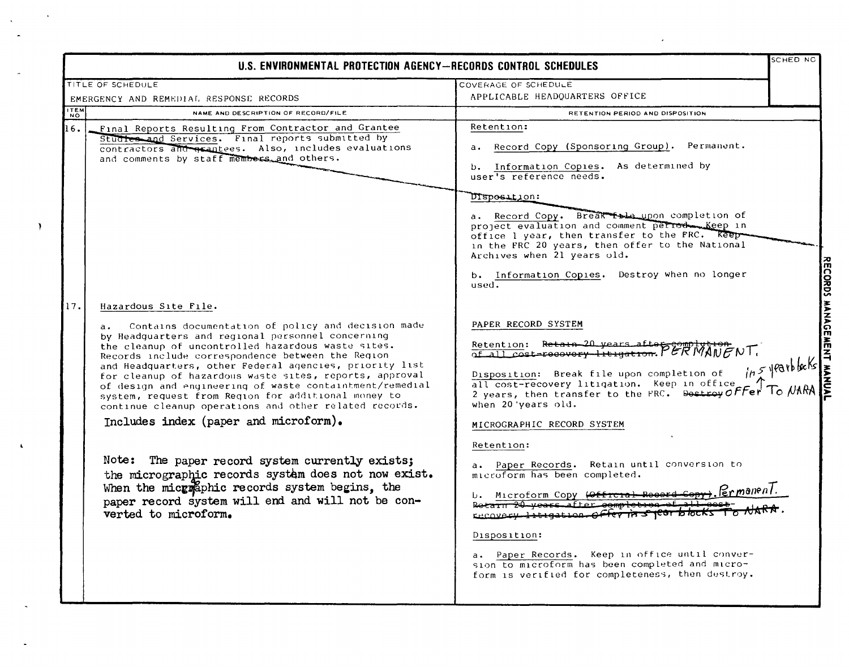|                                                                                                                                                                                                                                                                                                                                                                                                                                                                                                                                                                                                                                                                                                                                                                                                                                                      | U.S. ENVIRONMENTAL PROTECTION AGENCY-RECORDS CONTROL SCHEDULES                                                                                                                                                                                                                                                                                                                                                                                                                                                                                                                                                                                                                                                                                            | SCHED NC                                    |
|------------------------------------------------------------------------------------------------------------------------------------------------------------------------------------------------------------------------------------------------------------------------------------------------------------------------------------------------------------------------------------------------------------------------------------------------------------------------------------------------------------------------------------------------------------------------------------------------------------------------------------------------------------------------------------------------------------------------------------------------------------------------------------------------------------------------------------------------------|-----------------------------------------------------------------------------------------------------------------------------------------------------------------------------------------------------------------------------------------------------------------------------------------------------------------------------------------------------------------------------------------------------------------------------------------------------------------------------------------------------------------------------------------------------------------------------------------------------------------------------------------------------------------------------------------------------------------------------------------------------------|---------------------------------------------|
| TITLE OF SCHEDULE                                                                                                                                                                                                                                                                                                                                                                                                                                                                                                                                                                                                                                                                                                                                                                                                                                    | COVERAGE OF SCHEDULE                                                                                                                                                                                                                                                                                                                                                                                                                                                                                                                                                                                                                                                                                                                                      |                                             |
| EMERGENCY AND REMEDIAL RESPONSE RECORDS                                                                                                                                                                                                                                                                                                                                                                                                                                                                                                                                                                                                                                                                                                                                                                                                              | APPLICABLE HEADQUARTERS OFFICE                                                                                                                                                                                                                                                                                                                                                                                                                                                                                                                                                                                                                                                                                                                            |                                             |
| <b>ITEM</b><br>NAME AND DESCRIPTION OF RECORD/FILE                                                                                                                                                                                                                                                                                                                                                                                                                                                                                                                                                                                                                                                                                                                                                                                                   | RETENTION PERIOD AND DISPOSITION                                                                                                                                                                                                                                                                                                                                                                                                                                                                                                                                                                                                                                                                                                                          |                                             |
| 16.<br>Final Reports Resulting From Contractor and Grantee<br>Studies and Services. Final reports submitted by<br>contractors and grantees. Also, includes evaluations<br>and comments by staff members and others.                                                                                                                                                                                                                                                                                                                                                                                                                                                                                                                                                                                                                                  | Retention:<br>Record Copy (Sponsoring Group). Permanent.<br>b. Information Copies. As determined by<br>user's reference needs.<br>DISposition:<br>a. Record Copy. Break fada upon completion of<br>project evaluation and comment period Keep in<br>office 1 year, then transfer to the FRC. Reep-<br>in the FRC 20 years, then offer to the National<br>Archives when 21 years old.<br>b. Information Copies. Destroy when no longer<br>used.                                                                                                                                                                                                                                                                                                            |                                             |
| 17.<br>Hazardous Site File.<br>Contains documentation of policy and decision made<br>$a \cdot$<br>by Headquarters and regional personnel concerning<br>the cleanup of uncontrolled hazardous waste sites.<br>Records include correspondence between the Region<br>and Headquarters, other Federal agencies, priority list<br>for cleanup of hazardous waste sites, reports, approval<br>of design and engineering of waste containtment/remedial<br>system, request from Region for additional money to<br>continue cleanup operations and other related records.<br>Includes index (paper and microform).<br>Note: The paper record system currently exists;<br>the micrographic records system does not now exist.<br>When the micgolaphic records system begins, the<br>paper record system will end and will not be con-<br>verted to microform. | PAPER RECORD SYSTEM<br>Retention: Retain 20 years after complytion<br>of all cost-recovery litigation. PERWANENT.<br>Disposition: Break file upon completion of<br>all cost-recovery litigation. Keep in office<br>2 years, then transfer to the FRC. Bestroy OFFer To NARA<br>when 20 years old.<br>MICROGRAPHIC RECORD SYSTEM<br>Retention:<br>a. Paper Records. Retain until conversion to<br>microform has been completed.<br>$_{\div}$ . FermanenT.<br>b. Microform Copy (Offreial Reserd Copy<br>Retain 20 years after completion<br>EBCOVERY 1+t+gation Offer in 51cor bk<br>Disposition:<br>a. Paper Records. Keep in office until conver-<br>sion to microform has been completed and micro-<br>form is verified for completeness, then destroy. | RECORDS MANAGEMENT MANUA<br>ins yearblacks, |

 $\mathcal{L}(\mathcal{L}(\mathcal{L}))$  and  $\mathcal{L}(\mathcal{L}(\mathcal{L}))$  . The contribution of  $\mathcal{L}(\mathcal{L})$ 

 $\Delta \phi = 0.001$ 

 $\mathcal{Y}$ 

 $\hat{\mathbf{A}}$ 

 $\mathbb{R}^2$ 

 $\mathbb{Z}^2$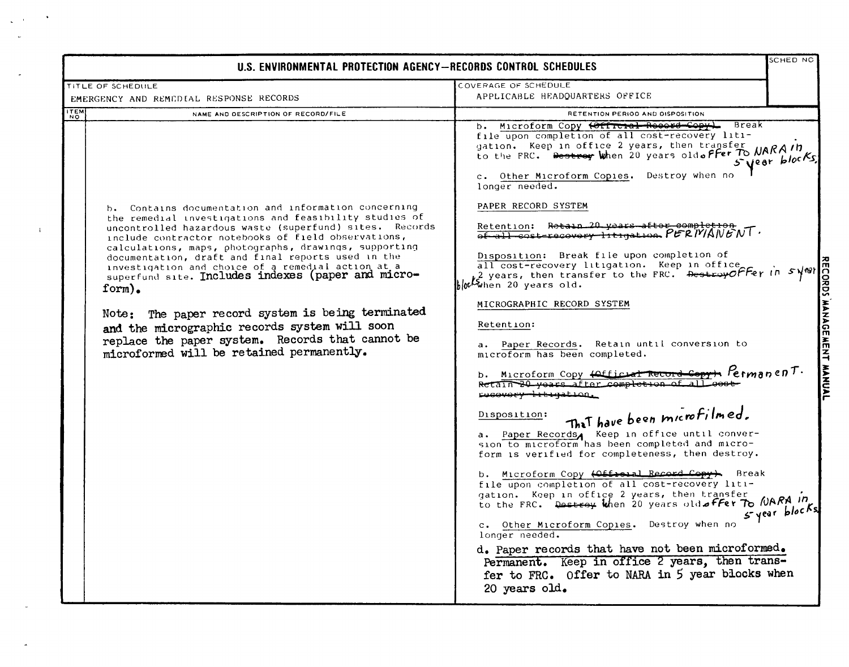| U.S. ENVIRONMENTAL PROTECTION AGENCY-RECORDS CONTROL SCHEDULES                                                                                                                                                                                                                                                                                                                                                                                                                                                                                                                                                                                                               |                                                                                                                                                                                                                                                                                                                                                                                                                                                                                                                                                                                                                                                                                                                                                                                                                                                                                                                                                                                                                                                                                                                                                                                                                                                                                                                                                                                                                                                                                                                                                 |                                                     |
|------------------------------------------------------------------------------------------------------------------------------------------------------------------------------------------------------------------------------------------------------------------------------------------------------------------------------------------------------------------------------------------------------------------------------------------------------------------------------------------------------------------------------------------------------------------------------------------------------------------------------------------------------------------------------|-------------------------------------------------------------------------------------------------------------------------------------------------------------------------------------------------------------------------------------------------------------------------------------------------------------------------------------------------------------------------------------------------------------------------------------------------------------------------------------------------------------------------------------------------------------------------------------------------------------------------------------------------------------------------------------------------------------------------------------------------------------------------------------------------------------------------------------------------------------------------------------------------------------------------------------------------------------------------------------------------------------------------------------------------------------------------------------------------------------------------------------------------------------------------------------------------------------------------------------------------------------------------------------------------------------------------------------------------------------------------------------------------------------------------------------------------------------------------------------------------------------------------------------------------|-----------------------------------------------------|
| TITLE OF SCHEDULE<br>EMERGENCY AND REMEDIAL RESPONSE RECORDS                                                                                                                                                                                                                                                                                                                                                                                                                                                                                                                                                                                                                 | COVERAGE OF SCHEDULE<br>APPLICABLE HEADQUARTERS OFFICE                                                                                                                                                                                                                                                                                                                                                                                                                                                                                                                                                                                                                                                                                                                                                                                                                                                                                                                                                                                                                                                                                                                                                                                                                                                                                                                                                                                                                                                                                          |                                                     |
| <b>ITEM</b><br>NAME AND DESCRIPTION OF RECORD/FILE<br>NO.                                                                                                                                                                                                                                                                                                                                                                                                                                                                                                                                                                                                                    | RETENTION PERIOD AND DISPOSITION                                                                                                                                                                                                                                                                                                                                                                                                                                                                                                                                                                                                                                                                                                                                                                                                                                                                                                                                                                                                                                                                                                                                                                                                                                                                                                                                                                                                                                                                                                                |                                                     |
| b. Contains documentation and information concerning<br>the remedial investigations and feasibility studies of<br>uncontrolled hazardous waste (superfund) sites. Records<br>include contractor notebooks of field observations,<br>calculations, maps, photographs, drawings, supporting<br>documentation, draft and final reports used in the<br>investigation and choice of a remedial action at a<br>superfund site. Includes indexes (paper and micro-<br>form).<br>Note: The paper record system is being terminated<br>and the micrographic records system will soon<br>replace the paper system. Records that cannot be<br>microformed will be retained permanently. | Microform Copy (Official Resert Copy)<br>Break<br>b.<br>file upon completion of all cost-recovery liti-<br>gation. Keep in office 2 years, then transfer<br>to the FRC. Destroy when 20 years oldoffer To NARAID<br>c. Other Microform Copies. Destroy when no<br>longer needed.<br>PAPER RECORD SYSTEM<br>Retain 20 years after completion<br>Retention:<br>$65 - 11 - 60$ st-recovery-litigation $PERIVANDIV$<br>Disposition: Break file upon completion of<br>all cost-recovery litigation. Keep in office<br>2 years, then transfer to the FRC. Destroy Offer in<br>bloch when 20 years old.<br>MICROGRAPHIC RECORD SYSTEM<br>Retention:<br>a. Paper Records. Retain until conversion to<br>microform has been completed.<br>n FermanenT.<br>b. Microform Copy <del>(Official Record Copy)</del><br>Retain 20 years after completion of all<br>rucovory trtyation.<br>That have been microfilmed.<br>Disposition:<br>a. Paper Records, Keep in office until conver-<br>sion to microform has been completed and micro-<br>form is verified for completeness, then destroy.<br>Microform Copy (Official Record Copy). Break<br>b.<br>file upon completion of all cost-recovery liti-<br>gation. Keep in office 2 years, then transfer<br>to the FRC. Destroy when 20 years old offer To MARA In<br>c. Other Microform Copies.<br>Destroy when no<br>longer needed.<br>d. Paper records that have not been microformed.<br>Permanent. Keep in office 2 years, then trans-<br>fer to FRC. Offer to NARA in 5 year blocks when<br>20 years old. | 5 year blocks.<br>svonio<br>MANAGE<br>5 year blocks |

 $\mathbf{1}$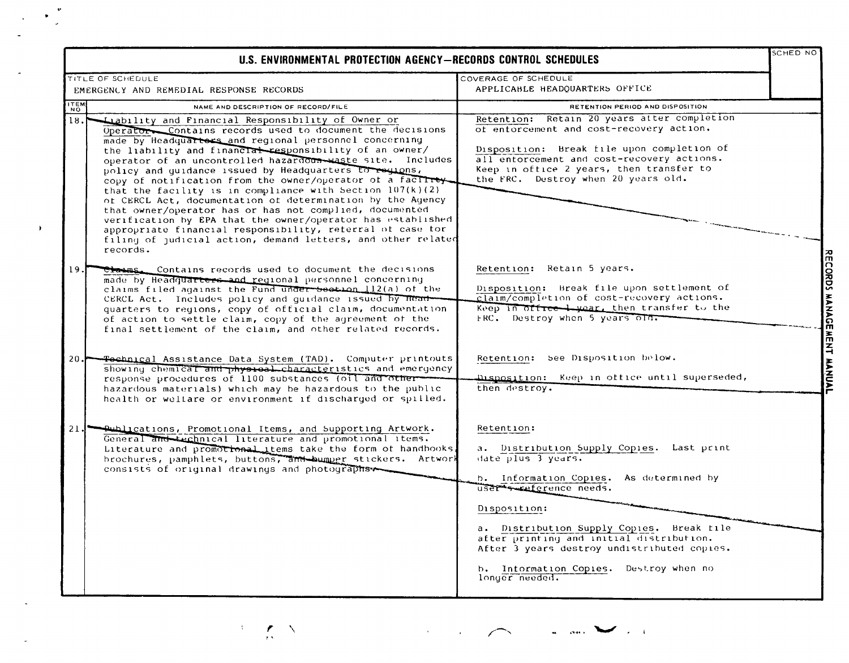|             | TITLE OF SCHEDULE                                                                                                                                                                                                                                                                                                                                                                                                                                                                                                                                                                                                                                                                                                                                                                                                          | COVERAGE OF SCHEDULE                                                                                                                                                                                                                                                                                                                                                       |  |
|-------------|----------------------------------------------------------------------------------------------------------------------------------------------------------------------------------------------------------------------------------------------------------------------------------------------------------------------------------------------------------------------------------------------------------------------------------------------------------------------------------------------------------------------------------------------------------------------------------------------------------------------------------------------------------------------------------------------------------------------------------------------------------------------------------------------------------------------------|----------------------------------------------------------------------------------------------------------------------------------------------------------------------------------------------------------------------------------------------------------------------------------------------------------------------------------------------------------------------------|--|
|             | EMERGENCY AND REMEDIAL RESPONSE RECORDS                                                                                                                                                                                                                                                                                                                                                                                                                                                                                                                                                                                                                                                                                                                                                                                    | APPLICABLE HEADQUARTERS OFFICE                                                                                                                                                                                                                                                                                                                                             |  |
| <b>ITEM</b> | NAME AND DESCRIPTION OF RECORD/FILE                                                                                                                                                                                                                                                                                                                                                                                                                                                                                                                                                                                                                                                                                                                                                                                        | RETENTION PERIOD AND DISPOSITION                                                                                                                                                                                                                                                                                                                                           |  |
| 18.1        | Liability and Financial Responsibility of Owner or<br>Operator Contains records used to document the decisions<br>made by Headquarters and regional personnel concerning<br>the liability and financial responsibility of an owner/<br>operator of an uncontrolled hazardous-waste site. Includes<br>policy and quidance issued by Headquarters to regions,<br>copy of notification from the owner/operator of a facility<br>that the facility is in compliance with Section $107(k)(2)$<br>of CERCL Act, documentation of determination by the Agency<br>that owner/operator has or has not complied, documented<br>verification by EPA that the owner/operator has established<br>appropriate financial responsibility, reterral of case for<br>filing of judicial action, demand letters, and other related<br>records. | Retention: Retain 20 years after completion<br>of enforcement and cost-recovery action.<br>Disposition: Break file upon completion of<br>all entorcement and cost-recovery actions.<br>Keep in office 2 years, then transfer to<br>the FRC. Destroy when 20 years old.                                                                                                     |  |
| 19.<br>20.1 | Claims. Contains records used to document the decisions<br>made by Headquarters and reqional personnel concerning<br>claims filed against the Fund under section 112(a) of the<br>CERCL Act. Includes policy and guidance issued by Head-<br>quarters to regions, copy of official claim, documentation<br>of action to settle claim, copy of the agreement of the<br>final settlement of the claim, and other related records.<br>Fochnical Assistance Data System (TAD). Computer printouts                                                                                                                                                                                                                                                                                                                              | Retention: Retain 5 years.<br>Disposition: Break file upon settlement of<br>claim/completion of cost-recovery actions.<br>Keep in office I year, then transfer to the<br>FRC. Destroy when 5 years old:<br>Retention: See Disposition below.                                                                                                                               |  |
|             | showing chemical and physical characteristics and emergency<br>response procedures of 1100 substances (oil and other-<br>hazardous materials) which may be hazardous to the public<br>health or weltare or environment if discharged or spilled.                                                                                                                                                                                                                                                                                                                                                                                                                                                                                                                                                                           | Disposition: Keep in office until superseded,<br>then destroy.                                                                                                                                                                                                                                                                                                             |  |
|             | 21. Publications, Promotional Items, and Supporting Artwork.<br>General and technical literature and promotional items.<br>Literature and promotional items take the form of handbooks,<br>brochures, pamphlets, buttons, and bumper stickers. Artwork<br>consists of original drawings and photographs                                                                                                                                                                                                                                                                                                                                                                                                                                                                                                                    | Retention:<br>a. Distribution Supply Copies. Last print<br>$date$ plus $3$ years.<br>b. Information Copies. As determined by<br>user senterence needs.<br>Disposition:<br>a. Distribution Supply Copies. Break file<br>after printing and initial distribution.<br>After 3 years destroy undistributed copies.<br>b. Information Copies. Destroy when no<br>longer needed. |  |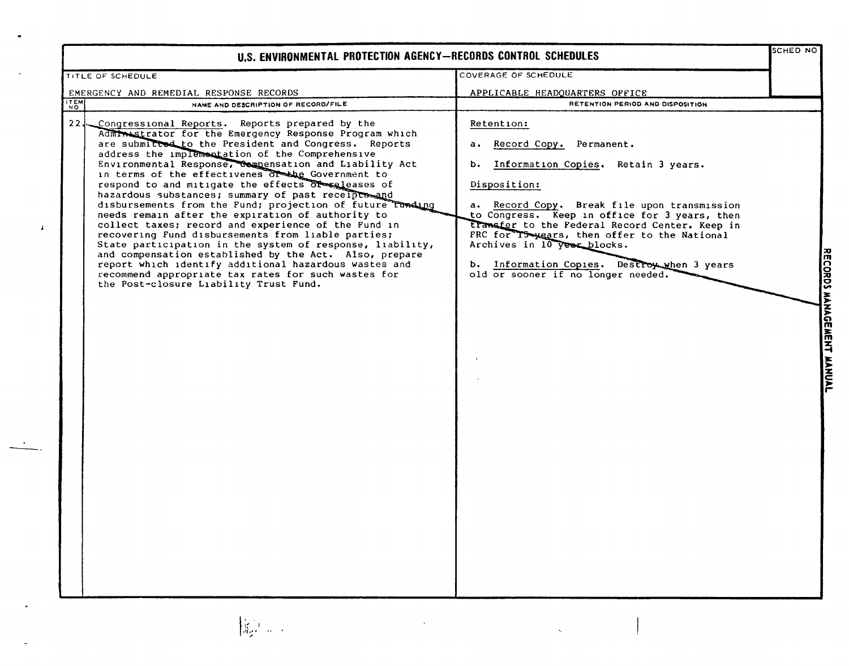| U.S. ENVIRONMENTAL PROTECTION AGENCY-RECORDS CONTROL SCHEDULES                                                                                                                                                                                                                                                                                                                                                                                                                                                                                                                                                                                                                                                                                                                                                                                                                                                                                                        |                                                                                                                                                                                                                                                                                                                                                                                                                               |         |
|-----------------------------------------------------------------------------------------------------------------------------------------------------------------------------------------------------------------------------------------------------------------------------------------------------------------------------------------------------------------------------------------------------------------------------------------------------------------------------------------------------------------------------------------------------------------------------------------------------------------------------------------------------------------------------------------------------------------------------------------------------------------------------------------------------------------------------------------------------------------------------------------------------------------------------------------------------------------------|-------------------------------------------------------------------------------------------------------------------------------------------------------------------------------------------------------------------------------------------------------------------------------------------------------------------------------------------------------------------------------------------------------------------------------|---------|
| <b>TITLE OF SCHEDULE</b>                                                                                                                                                                                                                                                                                                                                                                                                                                                                                                                                                                                                                                                                                                                                                                                                                                                                                                                                              | COVERAGE OF SCHEDULE                                                                                                                                                                                                                                                                                                                                                                                                          |         |
| EMERGENCY AND REMEDIAL RESPONSE RECORDS                                                                                                                                                                                                                                                                                                                                                                                                                                                                                                                                                                                                                                                                                                                                                                                                                                                                                                                               | APPLICABLE HEADQUARTERS OFFICE                                                                                                                                                                                                                                                                                                                                                                                                |         |
| ITEM<br>NAME AND DESCRIPTION OF RECORD/FILE                                                                                                                                                                                                                                                                                                                                                                                                                                                                                                                                                                                                                                                                                                                                                                                                                                                                                                                           | RETENTION PERIOD AND DISPOSITION                                                                                                                                                                                                                                                                                                                                                                                              |         |
| 22J<br>Congressional Reports. Reports prepared by the<br>Administrator for the Emergency Response Program which<br>are submitted to the President and Congress. Reports<br>address the implementation of the Comprehensive<br>Environmental Response, Compensation and Liability Act<br>in terms of the effectivenes of the Government to<br>respond to and mitigate the effects of seleases of<br>hazardous substances; summary of past receipts and<br>disbursements from the Fund; projection of future Tunding<br>needs remain after the expiration of authority to<br>collect taxes; record and experience of the Fund in<br>recovering Fund disbursements from liable parties;<br>State participation in the system of response, liability,<br>and compensation established by the Act. Also, prepare<br>report which identify additional hazardous wastes and<br>recommend appropriate tax rates for such wastes for<br>the Post-closure Liability Trust Fund. | Retention:<br>Record Copy. Permanent.<br>a.,<br>b. Information Copies. Retain 3 years.<br>Disposition:<br>a. Record Copy. Break file upon transmission<br>to Congress. Keep in office for 3 years, then<br>transfer to the Federal Record Center. Keep in<br>FRC for T5-years, then offer to the National<br>Archives in 10 year blocks.<br>b. Information Copies. Destroy when 3 years<br>old or sooner if no longer needed. | KELUKUS |

┪ NAND<br>No

 $\pmb{\downarrow}$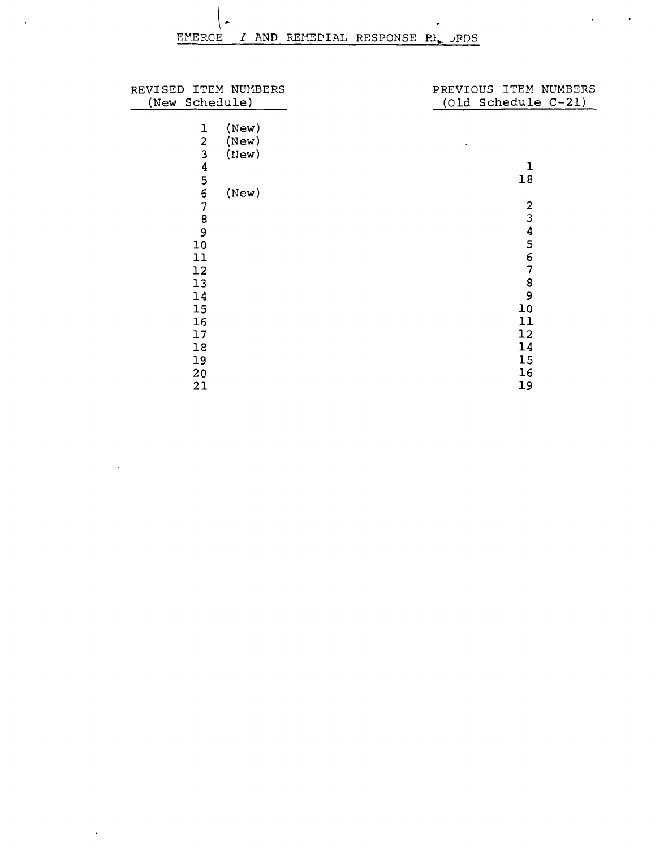$\overline{r}$ 

 $\bullet$ 

 $\mathcal{L}_{\mathcal{A}}$ 

 $\Delta \sim 10^4$ 

 $\bar{\lambda}$ 

 $\mathcal{L}_{\text{max}}$  and  $\mathcal{L}_{\text{max}}$ 

| REVISED ITEM NUMBERS             | PREVIOUS ITEM NUMBERS                   |  |
|----------------------------------|-----------------------------------------|--|
| (New Schedule)                   | $(01d$ Schedule $C-21)$                 |  |
| (New)<br>ı                       |                                         |  |
| $\overline{\mathbf{c}}$<br>(New) |                                         |  |
| 3<br>(New)                       |                                         |  |
| $\frac{4}{5}$                    | $\mathbf 1$                             |  |
|                                  | 18                                      |  |
| 6<br>(New)                       |                                         |  |
| 7<br>8                           | $\mathbf{2}$<br>$\overline{\mathbf{3}}$ |  |
| 9                                |                                         |  |
| 10                               | $\frac{4}{5}$                           |  |
| 11                               | 6                                       |  |
| 12                               | 7                                       |  |
| 13                               | 8                                       |  |
| 14                               | 9                                       |  |
| 15                               | 10                                      |  |
| 16                               | 11                                      |  |
| 17                               | 12                                      |  |
| 18                               | 14                                      |  |
| 19                               | 15                                      |  |
| 20                               | 16                                      |  |
| 21                               | 19                                      |  |